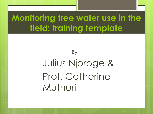#### **Monitoring tree water use in the field: training template**

## By Julius Njoroge & Prof. Catherine Muthuri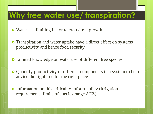#### **Why tree water use/ transpiration?**

- Water is a limiting factor to crop / tree growth
- **o** Transpiration and water uptake have a direct effect on systems productivity and hence food security
- Limited knowledge on water use of different tree species
- Quantify productivity of different components in a system to help advice the right tree for the right place
- Information on this critical to inform policy (irrigation requirements, limits of species range AEZ)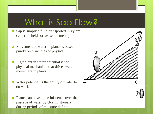#### What is Sap Flow?

- **•** Sap is simply a fluid transported in xylem cells (tracheids or vessel elements)
- Movement of water in plants is based purely on principles of physics
- A gradient in water potential is the physical mechanism that drives water movement in plants
- Water potential is the ability of water to do work
- **•** Plants can have some influence over the passage of water by closing stomata during periods of moisture deficit

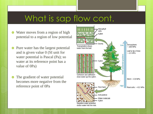#### What is sap flow cont.

- Water moves from a region of high potential to a region of low potential
- **•** Pure water has the largest potential and is given value 0 (SI unit for water potential is Pascal (Pa); so water at its reference point has a value of 0Pa)
- The gradient of water potential becomes more negative from the reference point of 0Pa

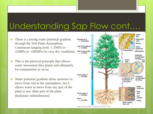#### Understanding Sap Flow cont.…

- **•** There is a strong water potential gradient through the Soil-Plant-Atmosphere Continuum ranging from -1.5MPa to - 3.0MPa to -100MPa for very dry conditions
- This is the physical principle that allows water movement thru plants and ultimately for transpiration to occur
- Water potential gradient allow moisture to move from soil to the atmosphere, but it allows water to move from any part of the plant to any other part of the plant (hydraulic redistribution)



Copyright @ 2008 Pearson Education, Inc., publishing as Pearson Benjamin Cummings.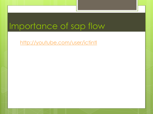#### Importance of sap flow

<http://youtube.com/user/ictintl>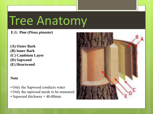# Tree Anatomy

#### **E.G Pine (***Pinus pinaster***)**

**(A) Outer Bark (B) Inner Bark (C) Cambium Layer (D) Sapwood (E) Heartwood**

#### **Note**

- Only the Sapwood conducts water
- Only the sapwood needs to be measured
- Sapwood thickness = 40-80mm

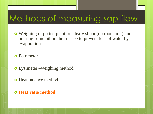#### Methods of measuring sap flow

 Weighing of potted plant or a leafy shoot (no roots in it) and pouring some oil on the surface to prevent loss of water by evaporation

**o** Potometer

- **•** Lysimeter –weighing method
- **o** Heat balance method
- **Heat ratio method**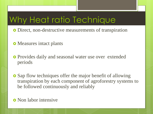## Why Heat ratio Technique

- Direct, non-destructive measurements of transpiration
- **o** Measures intact plants
- **•** Provides daily and seasonal water use over extended periods
- Sap flow techniques offer the major benefit of allowing transpiration by each component of agroforestry systems to be followed continuously and reliably
- **o** Non labor intensive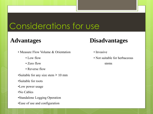#### Considerations for use

- Measure Flow Volume & Orientation Invasive
	-
	- Zero flow stems
	- Reverse flow
- •Suitable for any size stem **>** 10 mm
- •Suitable for roots
- •Low power usage
- •No Cables
- •Standalone Logging Operation
- •Ease of use and configuration

#### **Advantages Disadvantages**

- 
- Low flow **•** Not suitable for herbaceous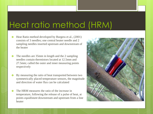#### Heat ratio method (HRM)

- **•** Heat Ratio method developed by Burgess et al., (2001) consists of 3 needles; one central heater needle and 2 sampling needles inserted upstream and downstream of the heater
- **o** The needles are 35mm in length and the 2 sampling needles contain thermistors located at 12.5mm and 27.5mm; called the outer and inner measuring points respectively
- **o** By measuring the ratio of heat transported between two symmetrically placed temperature sensors, the magnitude and direction of water flux can be calculated
- **Q** The HRM measures the ratio of the increase in temperature, following the release of a pulse of heat, at points *equidistant* downstream and upstream from a line heater

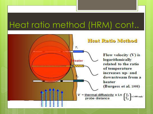#### Heat ratio method (HRM) cont..

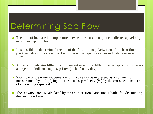## Determining Sap Flow

- The ratio of increase in temperature between measurement points indicate sap velocity as well as sap direction
- It is possible to determine direction of the flow due to polarization of the heat flux; positive values indicate upward sap flow while negative values indicate reverse sap flow
- A low ratio indicates little to no movement in sap (i.e. little or no transpiration) whereas a large ratio indicates rapid sap flow (its hot/sunny day)
- Sap Flow or the water movement within a tree can be expressed as a volumetric measurement by multiplying the corrected sap velocity (*V*s) by the cross-sectional area of conducting sapwood
- The sapwood area is calculated by the cross-sectional area under-bark after discounting the heartwood area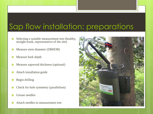#### Sap flow installation: preparations

- **o** Selecting a suitable measurement tree (healthy, straight trunk, representative of the site)
- **o** Measure stem diameter (DBHOB)
- **o** Measure bark depth
- **o** Measure sapwood thickness (optional)
- **o** Attach installation guide
- **o** Begin drilling
- **o** Check for hole symmetry (parallelism)
- **o** Grease needles
- Attach needles to measurement tree